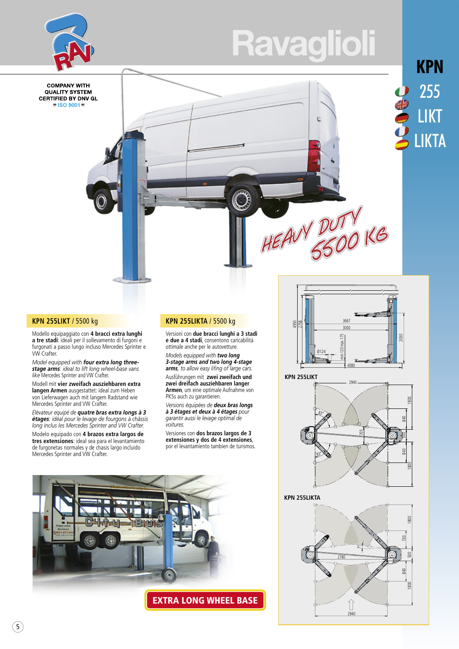



**COMPANY WITH QUALITY SYSTEM CERTIFIED BY DNV GL**  $=$  ISO 9001 $=$ 

# **KPN** 255 LIKT LIKTA

0000

### **KPN 255LIKT** / 5500 kg

Modello equipaggiato con **4 bracci extra lunghi a tre stadi**: ideali per il sollevamento di furgoni e furgonati a passo lungo incluso Mercedes Sprinter e VW Crafter.

*Model equipped with four extra long threestage arms: ideal to lift long wheel-base vans like* Mercedes Sprinter and VW Crafter.

Modell mit **vier zweifach ausziehbaren extra langen Armen** ausgestattet: ideal zum Heben von Lieferwagen auch mit langem Radstand wie Mercedes Sprinter and VW Crafter.

*Elévateur equipé de quatre bras extra longs à 3 étages: idéal pour le levage de fourgons à châssis long inclus les Mercedes Sprinter and VW Crafter.*

Modelo equipado con **4 brazos extra largos de tres extensiones**: ideal sea para el levantamiento de furgonetas normales y de chasis largo incluido Mercedes Sprinter and VW Crafter.

# **KPN 255LIKTA** / 5500 kg

Versioni con **due bracci lunghi a 3 stadi e due a 4 stadi**, consentono caricabilità ottimale anche per le autovetture.

*Models equipped with two long 3-stage arms and two long 4-stage arms, to allow easy lifing of large cars.*

Ausführungen mit **zwei zweifach und zwei dreifach ausziehbaren langer Armen**, um eine optimale Aufnahme von PKSs auch zu garantieren.

*Versions équipées de deux bras longs à 3 étages et deux à 4 étages pour garantir aussi le levage optimal de voitures.*

Versiones con **dos brazos largos de 3 extensiones y dos de 4 extensiones**, por el levantamiento tambien de turismos.





HEAVY DUTY

Ė





2040